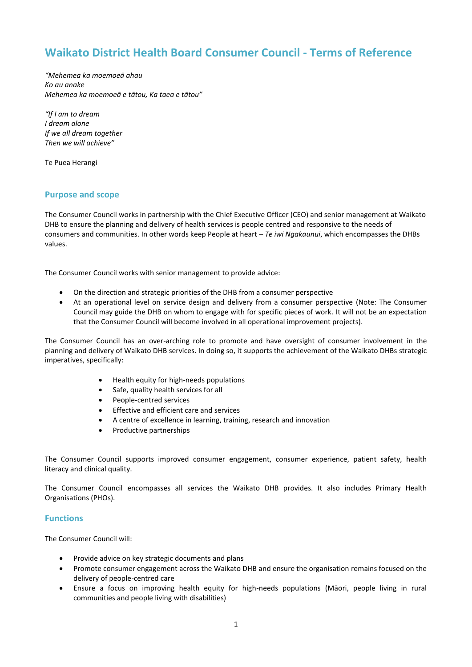# **Waikato District Health Board Consumer Council - Terms of Reference**

*"Mehemea ka moemoeā ahau Ko au anake Mehemea ka moemoeā e tātou, Ka taea e tātou"*

*"If I am to dream I dream alone If we all dream together Then we will achieve"*

Te Puea Herangi

# **Purpose and scope**

The Consumer Council works in partnership with the Chief Executive Officer (CEO) and senior management at Waikato DHB to ensure the planning and delivery of health services is people centred and responsive to the needs of consumers and communities. In other words keep People at heart – *Te iwi Ngakaunui*, which encompasses the DHBs values.

The Consumer Council works with senior management to provide advice:

- On the direction and strategic priorities of the DHB from a consumer perspective
- At an operational level on service design and delivery from a consumer perspective (Note: The Consumer Council may guide the DHB on whom to engage with for specific pieces of work. It will not be an expectation that the Consumer Council will become involved in all operational improvement projects).

The Consumer Council has an over-arching role to promote and have oversight of consumer involvement in the planning and delivery of Waikato DHB services. In doing so, it supports the achievement of the Waikato DHBs strategic imperatives, specifically:

- Health equity for high-needs populations
- Safe, quality health services for all
- People-centred services
- **•** Effective and efficient care and services
- A centre of excellence in learning, training, research and innovation
- Productive partnerships

The Consumer Council supports improved consumer engagement, consumer experience, patient safety, health literacy and clinical quality.

The Consumer Council encompasses all services the Waikato DHB provides. It also includes Primary Health Organisations (PHOs).

# **Functions**

The Consumer Council will:

- Provide advice on key strategic documents and plans
- Promote consumer engagement across the Waikato DHB and ensure the organisation remains focused on the delivery of people-centred care
- Ensure a focus on improving health equity for high-needs populations (Māori, people living in rural communities and people living with disabilities)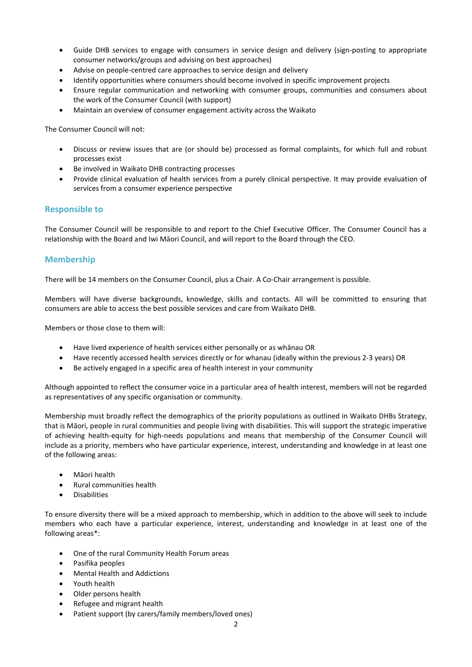- Guide DHB services to engage with consumers in service design and delivery (sign-posting to appropriate consumer networks/groups and advising on best approaches)
- Advise on people-centred care approaches to service design and delivery
- Identify opportunities where consumers should become involved in specific improvement projects
- Ensure regular communication and networking with consumer groups, communities and consumers about the work of the Consumer Council (with support)
- Maintain an overview of consumer engagement activity across the Waikato

The Consumer Council will not:

- Discuss or review issues that are (or should be) processed as formal complaints, for which full and robust processes exist
- Be involved in Waikato DHB contracting processes
- Provide clinical evaluation of health services from a purely clinical perspective. It may provide evaluation of services from a consumer experience perspective

### **Responsible to**

The Consumer Council will be responsible to and report to the Chief Executive Officer. The Consumer Council has a relationship with the Board and Iwi Māori Council, and will report to the Board through the CEO.

# **Membership**

There will be 14 members on the Consumer Council, plus a Chair. A Co-Chair arrangement is possible.

Members will have diverse backgrounds, knowledge, skills and contacts. All will be committed to ensuring that consumers are able to access the best possible services and care from Waikato DHB.

Members or those close to them will:

- Have lived experience of health services either personally or as whānau OR
- Have recently accessed health services directly or for whanau (ideally within the previous 2-3 years) OR
- Be actively engaged in a specific area of health interest in your community

Although appointed to reflect the consumer voice in a particular area of health interest, members will not be regarded as representatives of any specific organisation or community.

Membership must broadly reflect the demographics of the priority populations as outlined in Waikato DHBs Strategy, that is Māori, people in rural communities and people living with disabilities. This will support the strategic imperative of achieving health-equity for high-needs populations and means that membership of the Consumer Council will include as a priority, members who have particular experience, interest, understanding and knowledge in at least one of the following areas:

- Māori health
- Rural communities health
- Disabilities

To ensure diversity there will be a mixed approach to membership, which in addition to the above will seek to include members who each have a particular experience, interest, understanding and knowledge in at least one of the following areas\*:

- One of the rural Community Health Forum areas
- Pasifika peoples
- Mental Health and Addictions
- Youth health
- Older persons health
- Refugee and migrant health
- Patient support (by carers/family members/loved ones)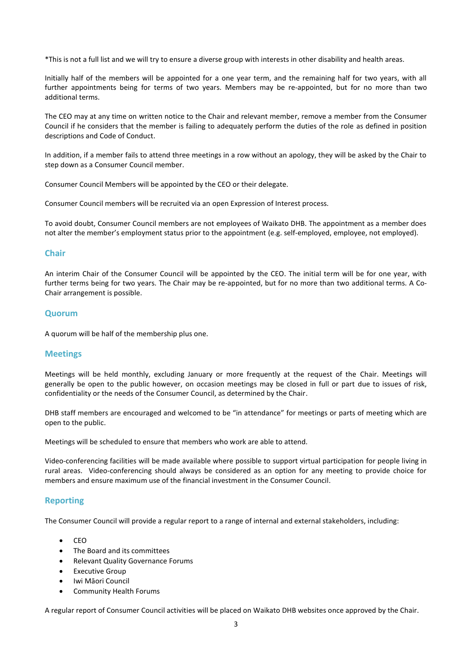\*This is not a full list and we will try to ensure a diverse group with interests in other disability and health areas.

Initially half of the members will be appointed for a one year term, and the remaining half for two years, with all further appointments being for terms of two years. Members may be re-appointed, but for no more than two additional terms.

The CEO may at any time on written notice to the Chair and relevant member, remove a member from the Consumer Council if he considers that the member is failing to adequately perform the duties of the role as defined in position descriptions and Code of Conduct.

In addition, if a member fails to attend three meetings in a row without an apology, they will be asked by the Chair to step down as a Consumer Council member.

Consumer Council Members will be appointed by the CEO or their delegate.

Consumer Council members will be recruited via an open Expression of Interest process.

To avoid doubt, Consumer Council members are not employees of Waikato DHB. The appointment as a member does not alter the member's employment status prior to the appointment (e.g. self-employed, employee, not employed).

#### **Chair**

An interim Chair of the Consumer Council will be appointed by the CEO. The initial term will be for one year, with further terms being for two years. The Chair may be re-appointed, but for no more than two additional terms. A Co-Chair arrangement is possible.

### **Quorum**

A quorum will be half of the membership plus one.

#### **Meetings**

Meetings will be held monthly, excluding January or more frequently at the request of the Chair. Meetings will generally be open to the public however, on occasion meetings may be closed in full or part due to issues of risk, confidentiality or the needs of the Consumer Council, as determined by the Chair.

DHB staff members are encouraged and welcomed to be "in attendance" for meetings or parts of meeting which are open to the public.

Meetings will be scheduled to ensure that members who work are able to attend.

Video-conferencing facilities will be made available where possible to support virtual participation for people living in rural areas. Video-conferencing should always be considered as an option for any meeting to provide choice for members and ensure maximum use of the financial investment in the Consumer Council.

# **Reporting**

The Consumer Council will provide a regular report to a range of internal and external stakeholders, including:

- $\bullet$  CEO
- The Board and its committees
- Relevant Quality Governance Forums
- Executive Group
- Iwi Māori Council
- Community Health Forums

A regular report of Consumer Council activities will be placed on Waikato DHB websites once approved by the Chair.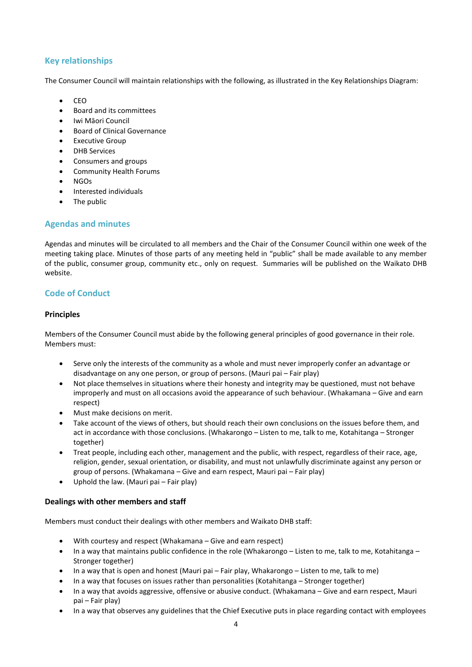# **Key relationships**

The Consumer Council will maintain relationships with the following, as illustrated in the Key Relationships Diagram:

- $\bullet$  CEO
- Board and its committees
- Iwi Māori Council
- Board of Clinical Governance
- Executive Group
- DHB Services
- Consumers and groups
- Community Health Forums
- NGOs
- Interested individuals
- The public

# **Agendas and minutes**

Agendas and minutes will be circulated to all members and the Chair of the Consumer Council within one week of the meeting taking place. Minutes of those parts of any meeting held in "public" shall be made available to any member of the public, consumer group, community etc., only on request. Summaries will be published on the Waikato DHB website.

# **Code of Conduct**

### **Principles**

Members of the Consumer Council must abide by the following general principles of good governance in their role. Members must:

- Serve only the interests of the community as a whole and must never improperly confer an advantage or disadvantage on any one person, or group of persons. (Mauri pai – Fair play)
- Not place themselves in situations where their honesty and integrity may be questioned, must not behave improperly and must on all occasions avoid the appearance of such behaviour. (Whakamana – Give and earn respect)
- Must make decisions on merit.
- Take account of the views of others, but should reach their own conclusions on the issues before them, and act in accordance with those conclusions. (Whakarongo – Listen to me, talk to me, Kotahitanga – Stronger together)
- Treat people, including each other, management and the public, with respect, regardless of their race, age, religion, gender, sexual orientation, or disability, and must not unlawfully discriminate against any person or group of persons. (Whakamana – Give and earn respect, Mauri pai – Fair play)
- Uphold the law. (Mauri pai Fair play)

### **Dealings with other members and staff**

Members must conduct their dealings with other members and Waikato DHB staff:

- With courtesy and respect (Whakamana Give and earn respect)
- In a way that maintains public confidence in the role (Whakarongo Listen to me, talk to me, Kotahitanga Stronger together)
- In a way that is open and honest (Mauri pai Fair play, Whakarongo Listen to me, talk to me)
- In a way that focuses on issues rather than personalities (Kotahitanga Stronger together)
- In a way that avoids aggressive, offensive or abusive conduct. (Whakamana Give and earn respect, Mauri pai – Fair play)
- In a way that observes any guidelines that the Chief Executive puts in place regarding contact with employees